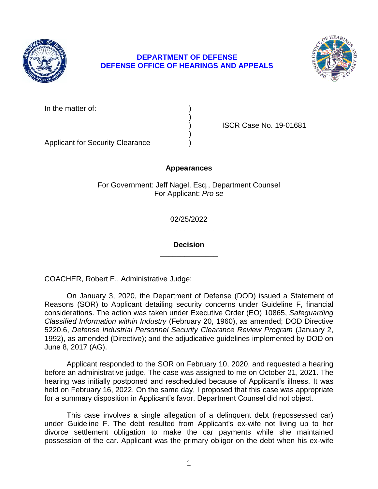

## **DEPARTMENT OF DEFENSE DEFENSE OFFICE OF HEARINGS AND APPEALS**



In the matter of:

) ISCR Case No. 19-01681

Applicant for Security Clearance )

## **Appearances**

)

)

For Government: Jeff Nagel, Esq., Department Counsel For Applicant: *Pro se* 

> **\_\_\_\_\_\_\_\_\_\_\_\_\_\_**  02/25/2022

> **\_\_\_\_\_\_\_\_\_\_\_\_\_\_ Decision**

COACHER, Robert E., Administrative Judge:

 considerations. The action was taken under Executive Order (EO) 10865, *Safeguarding Classified Information within Industry* (February 20, 1960), as amended; DOD Directive 5220.6, *Defense Industrial Personnel Security Clearance Review Program* (January 2, 1992), as amended (Directive); and the adjudicative guidelines implemented by DOD on On January 3, 2020, the Department of Defense (DOD) issued a Statement of Reasons (SOR) to Applicant detailing security concerns under Guideline F, financial June 8, 2017 (AG).

 Applicant responded to the SOR on February 10, 2020, and requested a hearing before an administrative judge. The case was assigned to me on October 21, 2021. The hearing was initially postponed and rescheduled because of Applicant's illness. It was held on February 16, 2022. On the same day, I proposed that this case was appropriate for a summary disposition in Applicant's favor. Department Counsel did not object.

 This case involves a single allegation of a delinquent debt (repossessed car) under Guideline F. The debt resulted from Applicant's ex-wife not living up to her divorce settlement obligation to make the car payments while she maintained possession of the car. Applicant was the primary obligor on the debt when his ex-wife